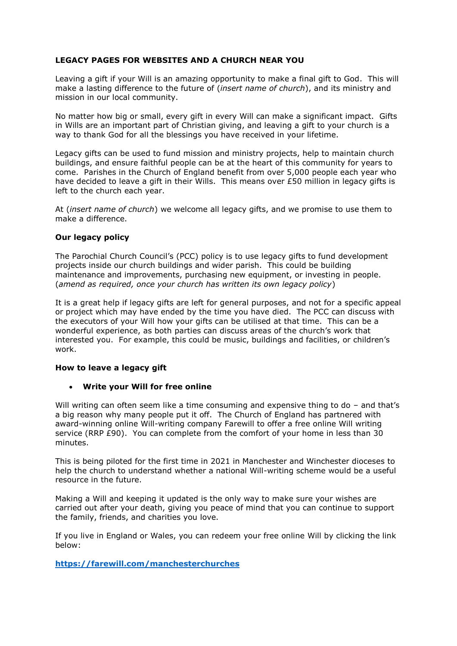# **LEGACY PAGES FOR WEBSITES AND A CHURCH NEAR YOU**

Leaving a gift if your Will is an amazing opportunity to make a final gift to God. This will make a lasting difference to the future of (*insert name of church*), and its ministry and mission in our local community.

No matter how big or small, every gift in every Will can make a significant impact. Gifts in Wills are an important part of Christian giving, and leaving a gift to your church is a way to thank God for all the blessings you have received in your lifetime.

Legacy gifts can be used to fund mission and ministry projects, help to maintain church buildings, and ensure faithful people can be at the heart of this community for years to come. Parishes in the Church of England benefit from over 5,000 people each year who have decided to leave a gift in their Wills. This means over £50 million in legacy gifts is left to the church each year.

At (*insert name of church*) we welcome all legacy gifts, and we promise to use them to make a difference.

## **Our legacy policy**

The Parochial Church Council's (PCC) policy is to use legacy gifts to fund development projects inside our church buildings and wider parish. This could be building maintenance and improvements, purchasing new equipment, or investing in people. (*amend as required, once your church has written its own legacy policy*)

It is a great help if legacy gifts are left for general purposes, and not for a specific appeal or project which may have ended by the time you have died. The PCC can discuss with the executors of your Will how your gifts can be utilised at that time. This can be a wonderful experience, as both parties can discuss areas of the church's work that interested you. For example, this could be music, buildings and facilities, or children's work.

### **How to leave a legacy gift**

### • **Write your Will for free online**

Will writing can often seem like a time consuming and expensive thing to do – and that's a big reason why many people put it off. The Church of England has partnered with award-winning online Will-writing company Farewill to offer a free online Will writing service (RRP £90). You can complete from the comfort of your home in less than 30 minutes.

This is being piloted for the first time in 2021 in Manchester and Winchester dioceses to help the church to understand whether a national Will-writing scheme would be a useful resource in the future.

Making a Will and keeping it updated is the only way to make sure your wishes are carried out after your death, giving you peace of mind that you can continue to support the family, friends, and charities you love.

If you live in England or Wales, you can redeem your free online Will by clicking the link below:

**<https://farewill.com/manchesterchurches>**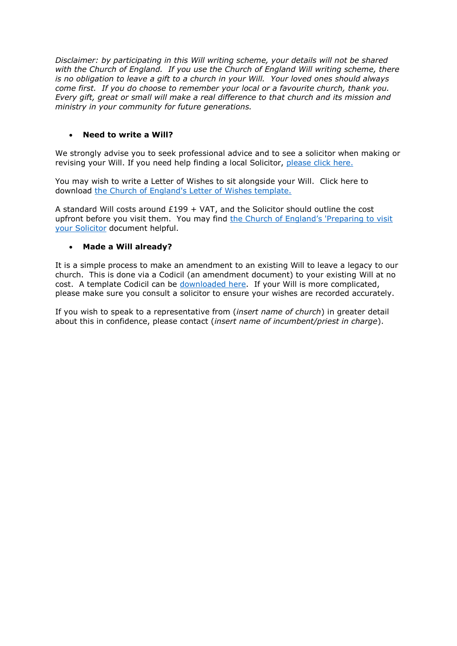*Disclaimer: by participating in this Will writing scheme, your details will not be shared with the Church of England. If you use the Church of England Will writing scheme, there is no obligation to leave a gift to a church in your Will. Your loved ones should always come first. If you do choose to remember your local or a favourite church, thank you. Every gift, great or small will make a real difference to that church and its mission and ministry in your community for future generations.*

# • **Need to write a Will?**

We strongly advise you to seek professional advice and to see a solicitor when making or revising your Will. If you need help finding a local Solicitor, [please click here.](https://www.churchlegacy.org.uk/writing-your-will/find-a-local-solicitor)

You may wish to write a Letter of Wishes to sit alongside your Will. Click here to download [the Church of England's Letter of Wishes template.](https://www.churchlegacy.org.uk/downloads/letter-of-wishes.pdf)

A standard Will costs around £199 + VAT, and the Solicitor should outline the cost upfront before you visit them. You may find the Church of England's 'Preparing to visit [your Solicitor](https://www.churchlegacy.org.uk/downloads/preparing-to-visit-your-solicitor.pdf) document helpful.

## • **Made a Will already?**

It is a simple process to make an amendment to an existing Will to leave a legacy to our church. This is done via a Codicil (an amendment document) to your existing Will at no cost. A template Codicil can be [downloaded here.](https://www.churchlegacy.org.uk/downloads/a-codicil.pdf) If your Will is more complicated, please make sure you consult a solicitor to ensure your wishes are recorded accurately.

If you wish to speak to a representative from (*insert name of church*) in greater detail about this in confidence, please contact (*insert name of incumbent/priest in charge*).